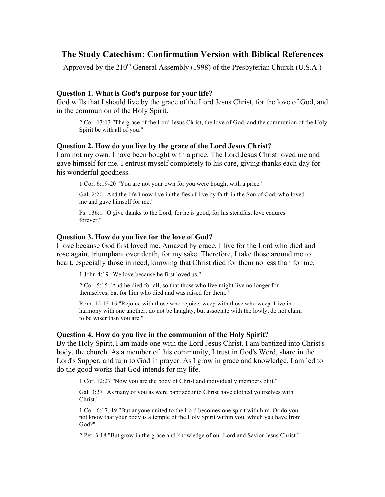# **The Study Catechism: Confirmation Version with Biblical References**

Approved by the  $210^{th}$  General Assembly (1998) of the Presbyterian Church (U.S.A.)

# **Question 1. What is God's purpose for your life?**

God wills that I should live by the grace of the Lord Jesus Christ, for the love of God, and in the communion of the Holy Spirit.

2 Cor. 13:13 "The grace of the Lord Jesus Christ, the love of God, and the communion of the Holy Spirit be with all of you."

### **Question 2. How do you live by the grace of the Lord Jesus Christ?**

I am not my own. I have been bought with a price. The Lord Jesus Christ loved me and gave himself for me. I entrust myself completely to his care, giving thanks each day for his wonderful goodness.

1 Cor. 6:19-20 "You are not your own for you were bought with a price"

Gal. 2:20 "And the life I now live in the flesh I live by faith in the Son of God, who loved me and gave himself for me."

Ps. 136:1 "O give thanks to the Lord, for he is good, for his steadfast love endures forever."

## **Question 3. How do you live for the love of God?**

I love because God first loved me. Amazed by grace, I live for the Lord who died and rose again, triumphant over death, for my sake. Therefore, I take those around me to heart, especially those in need, knowing that Christ died for them no less than for me.

1 John 4:19 "We love because he first loved us."

2 Cor. 5:15 "And he died for all, so that those who live might live no longer for themselves, but for him who died and was raised for them."

Rom. 12:15-16 "Rejoice with those who rejoice, weep with those who weep. Live in harmony with one another; do not be haughty, but associate with the lowly; do not claim to be wiser than you are."

## **Question 4. How do you live in the communion of the Holy Spirit?**

By the Holy Spirit, I am made one with the Lord Jesus Christ. I am baptized into Christ's body, the church. As a member of this community, I trust in God's Word, share in the Lord's Supper, and turn to God in prayer. As I grow in grace and knowledge, I am led to do the good works that God intends for my life.

1 Cor. 12:27 "Now you are the body of Christ and individually members of it."

Gal. 3:27 "As many of you as were baptized into Christ have clothed yourselves with Christ."

1 Cor. 6:17, 19 "But anyone united to the Lord becomes one spirit with him. Or do you not know that your body is a temple of the Holy Spirit within you, which you have from God?"

2 Pet. 3:18 "But grow in the grace and knowledge of our Lord and Savior Jesus Christ."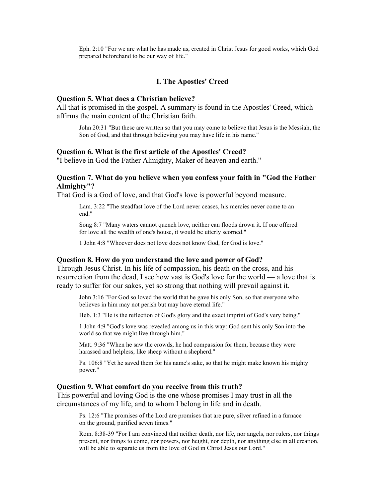Eph. 2:10 "For we are what he has made us, created in Christ Jesus for good works, which God prepared beforehand to be our way of life."

# **I. The Apostles' Creed**

#### **Question 5. What does a Christian believe?**

All that is promised in the gospel. A summary is found in the Apostles' Creed, which affirms the main content of the Christian faith.

John 20:31 "But these are written so that you may come to believe that Jesus is the Messiah, the Son of God, and that through believing you may have life in his name."

### **Question 6. What is the first article of the Apostles' Creed?**

"I believe in God the Father Almighty, Maker of heaven and earth."

# **Question 7. What do you believe when you confess your faith in "God the Father Almighty"?**

That God is a God of love, and that God's love is powerful beyond measure.

Lam. 3:22 "The steadfast love of the Lord never ceases, his mercies never come to an end."

Song 8:7 "Many waters cannot quench love, neither can floods drown it. If one offered for love all the wealth of one's house, it would be utterly scorned."

1 John 4:8 "Whoever does not love does not know God, for God is love."

#### **Question 8. How do you understand the love and power of God?**

Through Jesus Christ. In his life of compassion, his death on the cross, and his resurrection from the dead, I see how vast is God's love for the world — a love that is ready to suffer for our sakes, yet so strong that nothing will prevail against it.

John 3:16 "For God so loved the world that he gave his only Son, so that everyone who believes in him may not perish but may have eternal life."

Heb. 1:3 "He is the reflection of God's glory and the exact imprint of God's very being."

1 John 4:9 "God's love was revealed among us in this way: God sent his only Son into the world so that we might live through him."

Matt. 9:36 "When he saw the crowds, he had compassion for them, because they were harassed and helpless, like sheep without a shepherd."

Ps. 106:8 "Yet he saved them for his name's sake, so that he might make known his mighty power."

### **Question 9. What comfort do you receive from this truth?**

This powerful and loving God is the one whose promises I may trust in all the circumstances of my life, and to whom I belong in life and in death.

Ps. 12:6 "The promises of the Lord are promises that are pure, silver refined in a furnace on the ground, purified seven times."

Rom. 8:38-39 "For I am convinced that neither death, nor life, nor angels, nor rulers, nor things present, nor things to come, nor powers, nor height, nor depth, nor anything else in all creation, will be able to separate us from the love of God in Christ Jesus our Lord."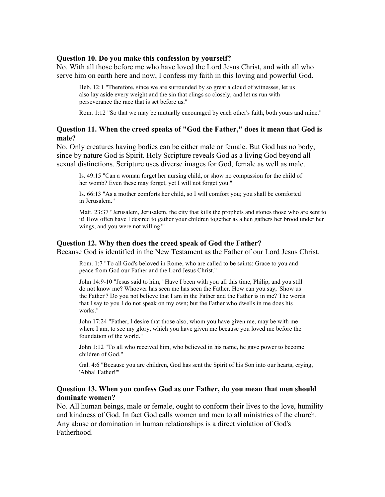### **Question 10. Do you make this confession by yourself?**

No. With all those before me who have loved the Lord Jesus Christ, and with all who serve him on earth here and now, I confess my faith in this loving and powerful God.

Heb. 12:1 "Therefore, since we are surrounded by so great a cloud of witnesses, let us also lay aside every weight and the sin that clings so closely, and let us run with perseverance the race that is set before us."

Rom. 1:12 "So that we may be mutually encouraged by each other's faith, both yours and mine."

# **Question 11. When the creed speaks of "God the Father," does it mean that God is male?**

No. Only creatures having bodies can be either male or female. But God has no body, since by nature God is Spirit. Holy Scripture reveals God as a living God beyond all sexual distinctions. Scripture uses diverse images for God, female as well as male.

Is. 49:15 "Can a woman forget her nursing child, or show no compassion for the child of her womb? Even these may forget, yet I will not forget you."

Is. 66:13 "As a mother comforts her child, so I will comfort you; you shall be comforted in Jerusalem."

Matt. 23:37 "Jerusalem, Jerusalem, the city that kills the prophets and stones those who are sent to it! How often have I desired to gather your children together as a hen gathers her brood under her wings, and you were not willing!"

### **Question 12. Why then does the creed speak of God the Father?**

Because God is identified in the New Testament as the Father of our Lord Jesus Christ.

Rom. 1:7 "To all God's beloved in Rome, who are called to be saints: Grace to you and peace from God our Father and the Lord Jesus Christ."

John 14:9-10 "Jesus said to him, "Have I been with you all this time, Philip, and you still do not know me? Whoever has seen me has seen the Father. How can you say, 'Show us the Father'? Do you not believe that I am in the Father and the Father is in me? The words that I say to you I do not speak on my own; but the Father who dwells in me does his works."

John 17:24 "Father, I desire that those also, whom you have given me, may be with me where I am, to see my glory, which you have given me because you loved me before the foundation of the world."

John 1:12 "To all who received him, who believed in his name, he gave power to become children of God."

Gal. 4:6 "Because you are children, God has sent the Spirit of his Son into our hearts, crying, 'Abba! Father!'"

### **Question 13. When you confess God as our Father, do you mean that men should dominate women?**

No. All human beings, male or female, ought to conform their lives to the love, humility and kindness of God. In fact God calls women and men to all ministries of the church. Any abuse or domination in human relationships is a direct violation of God's Fatherhood.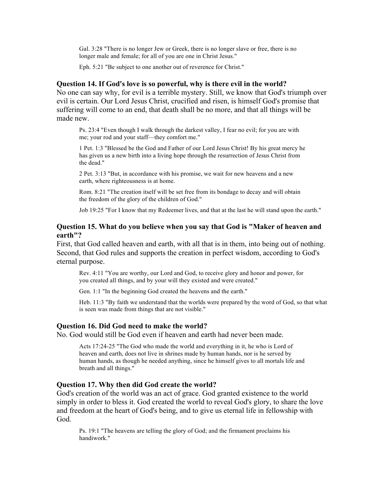Gal. 3:28 "There is no longer Jew or Greek, there is no longer slave or free, there is no longer male and female; for all of you are one in Christ Jesus."

Eph. 5:21 "Be subject to one another out of reverence for Christ."

## **Question 14. If God's love is so powerful, why is there evil in the world?**

No one can say why, for evil is a terrible mystery. Still, we know that God's triumph over evil is certain. Our Lord Jesus Christ, crucified and risen, is himself God's promise that suffering will come to an end, that death shall be no more, and that all things will be made new.

Ps. 23:4 "Even though I walk through the darkest valley, I fear no evil; for you are with me; your rod and your staff—they comfort me."

1 Pet. 1:3 "Blessed be the God and Father of our Lord Jesus Christ! By his great mercy he has given us a new birth into a living hope through the resurrection of Jesus Christ from the dead."

2 Pet. 3:13 "But, in accordance with his promise, we wait for new heavens and a new earth, where righteousness is at home.

Rom. 8:21 "The creation itself will be set free from its bondage to decay and will obtain the freedom of the glory of the children of God."

Job 19:25 "For I know that my Redeemer lives, and that at the last he will stand upon the earth."

# **Question 15. What do you believe when you say that God is "Maker of heaven and earth"?**

First, that God called heaven and earth, with all that is in them, into being out of nothing. Second, that God rules and supports the creation in perfect wisdom, according to God's eternal purpose.

Rev. 4:11 "You are worthy, our Lord and God, to receive glory and honor and power, for you created all things, and by your will they existed and were created."

Gen. 1:1 "In the beginning God created the heavens and the earth."

Heb. 11:3 "By faith we understand that the worlds were prepared by the word of God, so that what is seen was made from things that are not visible."

### **Question 16. Did God need to make the world?**

No. God would still be God even if heaven and earth had never been made.

Acts 17:24-25 "The God who made the world and everything in it, he who is Lord of heaven and earth, does not live in shrines made by human hands, nor is he served by human hands, as though he needed anything, since he himself gives to all mortals life and breath and all things."

### **Question 17. Why then did God create the world?**

God's creation of the world was an act of grace. God granted existence to the world simply in order to bless it. God created the world to reveal God's glory, to share the love and freedom at the heart of God's being, and to give us eternal life in fellowship with God.

Ps. 19:1 "The heavens are telling the glory of God; and the firmament proclaims his handiwork."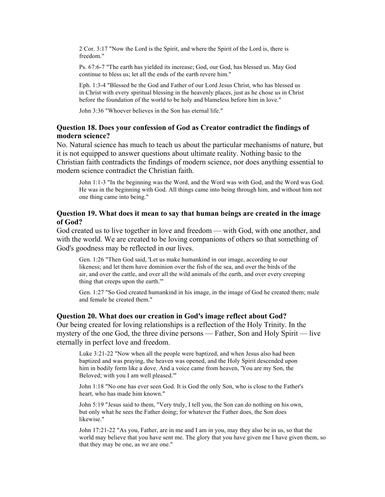2 Cor. 3:17 "Now the Lord is the Spirit, and where the Spirit of the Lord is, there is freedom."

Ps. 67:6-7 "The earth has yielded its increase; God, our God, has blessed us. May God continue to bless us; let all the ends of the earth revere him."

Eph. 1:3-4 "Blessed be the God and Father of our Lord Jesus Christ, who has blessed us in Christ with every spiritual blessing in the heavenly places, just as he chose us in Christ before the foundation of the world to be holy and blameless before him in love."

John 3:36 "Whoever believes in the Son has eternal life."

# **Question 18. Does your confession of God as Creator contradict the findings of modern science?**

No. Natural science has much to teach us about the particular mechanisms of nature, but it is not equipped to answer questions about ultimate reality. Nothing basic to the Christian faith contradicts the findings of modern science, nor does anything essential to modern science contradict the Christian faith.

John 1:1-3 "In the beginning was the Word, and the Word was with God, and the Word was God. He was in the beginning with God. All things came into being through him, and without him not one thing came into being."

# **Question 19. What does it mean to say that human beings are created in the image of God?**

God created us to live together in love and freedom — with God, with one another, and with the world. We are created to be loving companions of others so that something of God's goodness may be reflected in our lives.

Gen. 1:26 "Then God said, 'Let us make humankind in our image, according to our likeness; and let them have dominion over the fish of the sea, and over the birds of the air, and over the cattle, and over all the wild animals of the earth, and over every creeping thing that creeps upon the earth.'"

Gen. 1:27 "So God created humankind in his image, in the image of God he created them; male and female he created them."

### **Question 20. What does our creation in God's image reflect about God?**

Our being created for loving relationships is a reflection of the Holy Trinity. In the mystery of the one God, the three divine persons — Father, Son and Holy Spirit — live eternally in perfect love and freedom.

Luke 3:21-22 "Now when all the people were baptized, and when Jesus also had been baptized and was praying, the heaven was opened, and the Holy Spirit descended upon him in bodily form like a dove. And a voice came from heaven, 'You are my Son, the Beloved; with you I am well pleased.'"

John 1:18 "No one has ever seen God. It is God the only Son, who is close to the Father's heart, who has made him known."

John 5:19 "Jesus said to them, "Very truly, I tell you, the Son can do nothing on his own, but only what he sees the Father doing; for whatever the Father does, the Son does likewise."

John 17:21-22 "As you, Father, are in me and I am in you, may they also be in us, so that the world may believe that you have sent me. The glory that you have given me I have given them, so that they may be one, as we are one."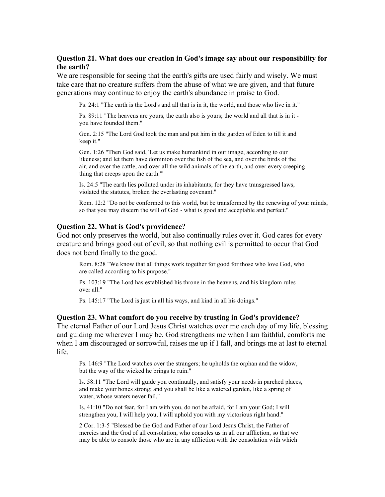# **Question 21. What does our creation in God's image say about our responsibility for the earth?**

We are responsible for seeing that the earth's gifts are used fairly and wisely. We must take care that no creature suffers from the abuse of what we are given, and that future generations may continue to enjoy the earth's abundance in praise to God.

Ps. 24:1 "The earth is the Lord's and all that is in it, the world, and those who live in it."

Ps. 89:11 "The heavens are yours, the earth also is yours; the world and all that is in it you have founded them."

Gen. 2:15 "The Lord God took the man and put him in the garden of Eden to till it and keep it."

Gen. 1:26 "Then God said, 'Let us make humankind in our image, according to our likeness; and let them have dominion over the fish of the sea, and over the birds of the air, and over the cattle, and over all the wild animals of the earth, and over every creeping thing that creeps upon the earth.'"

Is. 24:5 "The earth lies polluted under its inhabitants; for they have transgressed laws, violated the statutes, broken the everlasting covenant."

Rom. 12:2 "Do not be conformed to this world, but be transformed by the renewing of your minds, so that you may discern the will of God - what is good and acceptable and perfect."

### **Question 22. What is God's providence?**

God not only preserves the world, but also continually rules over it. God cares for every creature and brings good out of evil, so that nothing evil is permitted to occur that God does not bend finally to the good.

Rom. 8:28 "We know that all things work together for good for those who love God, who are called according to his purpose."

Ps. 103:19 "The Lord has established his throne in the heavens, and his kingdom rules over all."

Ps. 145:17 "The Lord is just in all his ways, and kind in all his doings."

### **Question 23. What comfort do you receive by trusting in God's providence?**

The eternal Father of our Lord Jesus Christ watches over me each day of my life, blessing and guiding me wherever I may be. God strengthens me when I am faithful, comforts me when I am discouraged or sorrowful, raises me up if I fall, and brings me at last to eternal life.

Ps. 146:9 "The Lord watches over the strangers; he upholds the orphan and the widow, but the way of the wicked he brings to ruin."

Is. 58:11 "The Lord will guide you continually, and satisfy your needs in parched places, and make your bones strong; and you shall be like a watered garden, like a spring of water, whose waters never fail."

Is. 41:10 "Do not fear, for I am with you, do not be afraid, for I am your God; I will strengthen you, I will help you, I will uphold you with my victorious right hand."

2 Cor. 1:3-5 "Blessed be the God and Father of our Lord Jesus Christ, the Father of mercies and the God of all consolation, who consoles us in all our affliction, so that we may be able to console those who are in any affliction with the consolation with which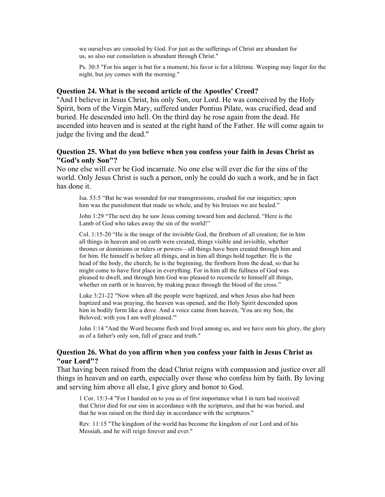we ourselves are consoled by God. For just as the sufferings of Christ are abundant for us, so also our consolation is abundant through Christ."

Ps. 30:5 "For his anger is but for a moment; his favor is for a lifetime. Weeping may linger for the night, but joy comes with the morning."

### **Question 24. What is the second article of the Apostles' Creed?**

"And I believe in Jesus Christ, his only Son, our Lord. He was conceived by the Holy Spirit, born of the Virgin Mary, suffered under Pontius Pilate, was crucified, dead and buried. He descended into hell. On the third day he rose again from the dead. He ascended into heaven and is seated at the right hand of the Father. He will come again to judge the living and the dead."

# **Question 25. What do you believe when you confess your faith in Jesus Christ as "God's only Son"?**

No one else will ever be God incarnate. No one else will ever die for the sins of the world. Only Jesus Christ is such a person, only he could do such a work, and he in fact has done it.

Isa. 53:5 "But he was wounded for our transgressions, crushed for our iniquities; upon him was the punishment that made us whole, and by his bruises we are healed."

John 1:29 "The next day he saw Jesus coming toward him and declared, "Here is the Lamb of God who takes away the sin of the world!"

Col. 1:15-20 "He is the image of the invisible God, the firstborn of all creation; for in him all things in heaven and on earth were created, things visible and invisible, whether thrones or dominions or rulers or powers—all things have been created through him and for him. He himself is before all things, and in him all things hold together. He is the head of the body, the church; he is the beginning, the firstborn from the dead, so that he might come to have first place in everything. For in him all the fullness of God was pleased to dwell, and through him God was pleased to reconcile to himself all things, whether on earth or in heaven, by making peace through the blood of the cross."

Luke 3:21-22 "Now when all the people were baptized, and when Jesus also had been baptized and was praying, the heaven was opened, and the Holy Spirit descended upon him in bodily form like a dove. And a voice came from heaven, 'You are my Son, the Beloved; with you I am well pleased.'"

John 1:14 "And the Word became flesh and lived among us, and we have seen his glory, the glory as of a father's only son, full of grace and truth."

# **Question 26. What do you affirm when you confess your faith in Jesus Christ as "our Lord"?**

That having been raised from the dead Christ reigns with compassion and justice over all things in heaven and on earth, especially over those who confess him by faith. By loving and serving him above all else, I give glory and honor to God.

1 Cor. 15:3-4 "For I handed on to you as of first importance what I in turn had received: that Christ died for our sins in accordance with the scriptures, and that he was buried, and that he was raised on the third day in accordance with the scriptures."

Rev. 11:15 "The kingdom of the world has become the kingdom of our Lord and of his Messiah, and he will reign forever and ever."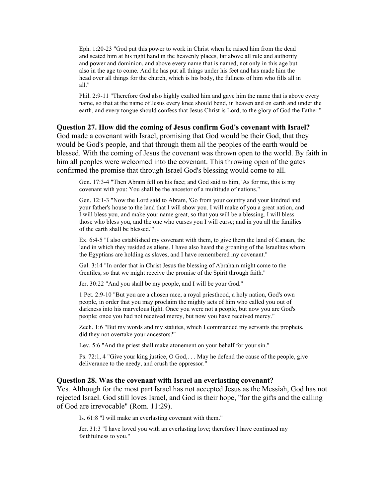Eph. 1:20-23 "God put this power to work in Christ when he raised him from the dead and seated him at his right hand in the heavenly places, far above all rule and authority and power and dominion, and above every name that is named, not only in this age but also in the age to come. And he has put all things under his feet and has made him the head over all things for the church, which is his body, the fullness of him who fills all in all."

Phil. 2:9-11 "Therefore God also highly exalted him and gave him the name that is above every name, so that at the name of Jesus every knee should bend, in heaven and on earth and under the earth, and every tongue should confess that Jesus Christ is Lord, to the glory of God the Father."

#### **Question 27. How did the coming of Jesus confirm God's covenant with Israel?**

God made a covenant with Israel, promising that God would be their God, that they would be God's people, and that through them all the peoples of the earth would be blessed. With the coming of Jesus the covenant was thrown open to the world. By faith in him all peoples were welcomed into the covenant. This throwing open of the gates confirmed the promise that through Israel God's blessing would come to all.

Gen. 17:3-4 "Then Abram fell on his face; and God said to him, 'As for me, this is my covenant with you: You shall be the ancestor of a multitude of nations."

Gen. 12:1-3 "Now the Lord said to Abram, 'Go from your country and your kindred and your father's house to the land that I will show you. I will make of you a great nation, and I will bless you, and make your name great, so that you will be a blessing. I will bless those who bless you, and the one who curses you I will curse; and in you all the families of the earth shall be blessed.'"

Ex. 6:4-5 "I also established my covenant with them, to give them the land of Canaan, the land in which they resided as aliens. I have also heard the groaning of the Israelites whom the Egyptians are holding as slaves, and I have remembered my covenant."

Gal. 3:14 "In order that in Christ Jesus the blessing of Abraham might come to the Gentiles, so that we might receive the promise of the Spirit through faith."

Jer. 30:22 "And you shall be my people, and I will be your God."

1 Pet. 2:9-10 "But you are a chosen race, a royal priesthood, a holy nation, God's own people, in order that you may proclaim the mighty acts of him who called you out of darkness into his marvelous light. Once you were not a people, but now you are God's people; once you had not received mercy, but now you have received mercy."

Zech. 1:6 "But my words and my statutes, which I commanded my servants the prophets, did they not overtake your ancestors?"

Lev. 5:6 "And the priest shall make atonement on your behalf for your sin."

Ps. 72:1, 4 "Give your king justice, O God,. . . May he defend the cause of the people, give deliverance to the needy, and crush the oppressor."

#### **Question 28. Was the covenant with Israel an everlasting covenant?**

Yes. Although for the most part Israel has not accepted Jesus as the Messiah, God has not rejected Israel. God still loves Israel, and God is their hope, "for the gifts and the calling of God are irrevocable" (Rom. 11:29).

Is. 61:8 "I will make an everlasting covenant with them."

Jer. 31:3 "I have loved you with an everlasting love; therefore I have continued my faithfulness to you."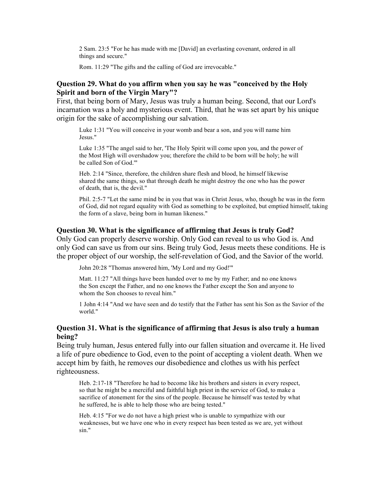2 Sam. 23:5 "For he has made with me [David] an everlasting covenant, ordered in all things and secure."

Rom. 11:29 "The gifts and the calling of God are irrevocable."

# **Question 29. What do you affirm when you say he was "conceived by the Holy Spirit and born of the Virgin Mary"?**

First, that being born of Mary, Jesus was truly a human being. Second, that our Lord's incarnation was a holy and mysterious event. Third, that he was set apart by his unique origin for the sake of accomplishing our salvation.

Luke 1:31 "You will conceive in your womb and bear a son, and you will name him Jesus."

Luke 1:35 "The angel said to her, 'The Holy Spirit will come upon you, and the power of the Most High will overshadow you; therefore the child to be born will be holy; he will be called Son of God.'"

Heb. 2:14 "Since, therefore, the children share flesh and blood, he himself likewise shared the same things, so that through death he might destroy the one who has the power of death, that is, the devil."

Phil. 2:5-7 "Let the same mind be in you that was in Christ Jesus, who, though he was in the form of God, did not regard equality with God as something to be exploited, but emptied himself, taking the form of a slave, being born in human likeness."

# **Question 30. What is the significance of affirming that Jesus is truly God?**

Only God can properly deserve worship. Only God can reveal to us who God is. And only God can save us from our sins. Being truly God, Jesus meets these conditions. He is the proper object of our worship, the self-revelation of God, and the Savior of the world.

John 20:28 "Thomas answered him, 'My Lord and my God!'"

Matt. 11:27 "All things have been handed over to me by my Father; and no one knows the Son except the Father, and no one knows the Father except the Son and anyone to whom the Son chooses to reveal him."

1 John 4:14 "And we have seen and do testify that the Father has sent his Son as the Savior of the world."

# **Question 31. What is the significance of affirming that Jesus is also truly a human being?**

Being truly human, Jesus entered fully into our fallen situation and overcame it. He lived a life of pure obedience to God, even to the point of accepting a violent death. When we accept him by faith, he removes our disobedience and clothes us with his perfect righteousness.

Heb. 2:17-18 "Therefore he had to become like his brothers and sisters in every respect, so that he might be a merciful and faithful high priest in the service of God, to make a sacrifice of atonement for the sins of the people. Because he himself was tested by what he suffered, he is able to help those who are being tested."

Heb. 4:15 "For we do not have a high priest who is unable to sympathize with our weaknesses, but we have one who in every respect has been tested as we are, yet without sin."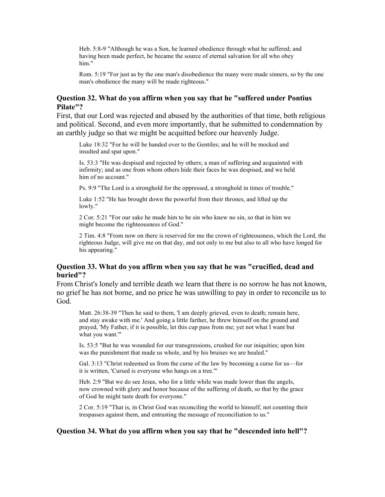Heb. 5:8-9 "Although he was a Son, he learned obedience through what he suffered; and having been made perfect, he became the source of eternal salvation for all who obey him."

Rom. 5:19 "For just as by the one man's disobedience the many were made sinners, so by the one man's obedience the many will be made righteous."

# **Question 32. What do you affirm when you say that he "suffered under Pontius Pilate"?**

First, that our Lord was rejected and abused by the authorities of that time, both religious and political. Second, and even more importantly, that he submitted to condemnation by an earthly judge so that we might be acquitted before our heavenly Judge.

Luke 18:32 "For he will be handed over to the Gentiles; and he will be mocked and insulted and spat upon."

Is. 53:3 "He was despised and rejected by others; a man of suffering and acquainted with infirmity; and as one from whom others hide their faces he was despised, and we held him of no account."

Ps. 9:9 "The Lord is a stronghold for the oppressed, a stronghold in times of trouble."

Luke 1:52 "He has brought down the powerful from their thrones, and lifted up the lowly."

2 Cor. 5:21 "For our sake he made him to be sin who knew no sin, so that in him we might become the righteousness of God."

2 Tim. 4:8 "From now on there is reserved for me the crown of righteousness, which the Lord, the righteous Judge, will give me on that day, and not only to me but also to all who have longed for his appearing."

# **Question 33. What do you affirm when you say that he was "crucified, dead and buried"?**

From Christ's lonely and terrible death we learn that there is no sorrow he has not known, no grief he has not borne, and no price he was unwilling to pay in order to reconcile us to God.

Matt. 26:38-39 "Then he said to them, 'I am deeply grieved, even to death; remain here, and stay awake with me.' And going a little farther, he threw himself on the ground and prayed, 'My Father, if it is possible, let this cup pass from me; yet not what I want but what you want.'"

Is. 53:5 "But he was wounded for our transgressions, crushed for our iniquities; upon him was the punishment that made us whole, and by his bruises we are healed."

Gal. 3:13 "Christ redeemed us from the curse of the law by becoming a curse for us—for it is written, 'Cursed is everyone who hangs on a tree.'"

Heb. 2:9 "But we do see Jesus, who for a little while was made lower than the angels, now crowned with glory and honor because of the suffering of death, so that by the grace of God he might taste death for everyone."

2 Cor. 5:19 "That is, in Christ God was reconciling the world to himself, not counting their trespasses against them, and entrusting the message of reconciliation to us."

# **Question 34. What do you affirm when you say that he "descended into hell"?**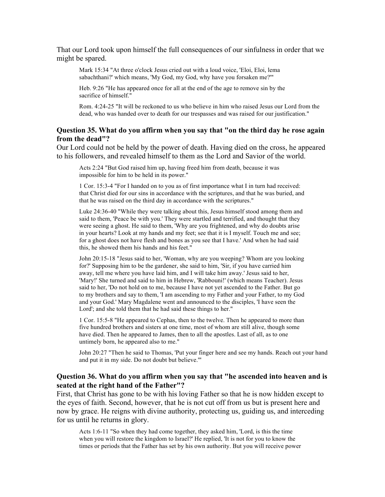That our Lord took upon himself the full consequences of our sinfulness in order that we might be spared.

Mark 15:34 "At three o'clock Jesus cried out with a loud voice, 'Eloi, Eloi, lema sabachthani?' which means, 'My God, my God, why have you forsaken me?'"

Heb. 9:26 "He has appeared once for all at the end of the age to remove sin by the sacrifice of himself."

Rom. 4:24-25 "It will be reckoned to us who believe in him who raised Jesus our Lord from the dead, who was handed over to death for our trespasses and was raised for our justification."

# **Question 35. What do you affirm when you say that "on the third day he rose again from the dead"?**

Our Lord could not be held by the power of death. Having died on the cross, he appeared to his followers, and revealed himself to them as the Lord and Savior of the world.

Acts 2:24 "But God raised him up, having freed him from death, because it was impossible for him to be held in its power."

1 Cor. 15:3-4 "For I handed on to you as of first importance what I in turn had received: that Christ died for our sins in accordance with the scriptures, and that he was buried, and that he was raised on the third day in accordance with the scriptures."

Luke 24:36-40 "While they were talking about this, Jesus himself stood among them and said to them, 'Peace be with you.' They were startled and terrified, and thought that they were seeing a ghost. He said to them, 'Why are you frightened, and why do doubts arise in your hearts? Look at my hands and my feet; see that it is I myself. Touch me and see; for a ghost does not have flesh and bones as you see that I have.' And when he had said this, he showed them his hands and his feet."

John 20:15-18 "Jesus said to her, 'Woman, why are you weeping? Whom are you looking for?' Supposing him to be the gardener, she said to him, 'Sir, if you have carried him away, tell me where you have laid him, and I will take him away.' Jesus said to her, 'Mary!' She turned and said to him in Hebrew, 'Rabbouni!' (which means Teacher). Jesus said to her, 'Do not hold on to me, because I have not yet ascended to the Father. But go to my brothers and say to them, 'I am ascending to my Father and your Father, to my God and your God.' Mary Magdalene went and announced to the disciples, 'I have seen the Lord'; and she told them that he had said these things to her."

1 Cor. 15:5-8 "He appeared to Cephas, then to the twelve. Then he appeared to more than five hundred brothers and sisters at one time, most of whom are still alive, though some have died. Then he appeared to James, then to all the apostles. Last of all, as to one untimely born, he appeared also to me."

John 20:27 "Then he said to Thomas, 'Put your finger here and see my hands. Reach out your hand and put it in my side. Do not doubt but believe.'"

# **Question 36. What do you affirm when you say that "he ascended into heaven and is seated at the right hand of the Father"?**

First, that Christ has gone to be with his loving Father so that he is now hidden except to the eyes of faith. Second, however, that he is not cut off from us but is present here and now by grace. He reigns with divine authority, protecting us, guiding us, and interceding for us until he returns in glory.

Acts 1:6-11 "So when they had come together, they asked him, 'Lord, is this the time when you will restore the kingdom to Israel?' He replied, 'It is not for you to know the times or periods that the Father has set by his own authority. But you will receive power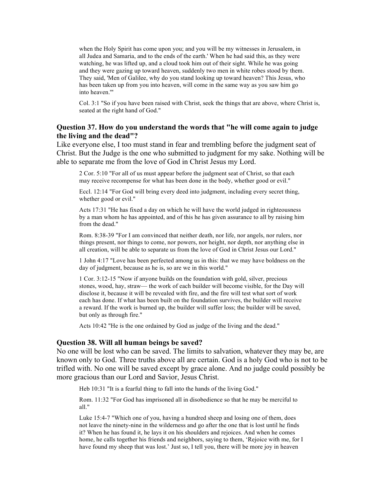when the Holy Spirit has come upon you; and you will be my witnesses in Jerusalem, in all Judea and Samaria, and to the ends of the earth.' When he had said this, as they were watching, he was lifted up, and a cloud took him out of their sight. While he was going and they were gazing up toward heaven, suddenly two men in white robes stood by them. They said, 'Men of Galilee, why do you stand looking up toward heaven? This Jesus, who has been taken up from you into heaven, will come in the same way as you saw him go into heaven.'"

Col. 3:1 "So if you have been raised with Christ, seek the things that are above, where Christ is, seated at the right hand of God."

# **Question 37. How do you understand the words that "he will come again to judge the living and the dead"?**

Like everyone else, I too must stand in fear and trembling before the judgment seat of Christ. But the Judge is the one who submitted to judgment for my sake. Nothing will be able to separate me from the love of God in Christ Jesus my Lord.

2 Cor. 5:10 "For all of us must appear before the judgment seat of Christ, so that each may receive recompense for what has been done in the body, whether good or evil."

Eccl. 12:14 "For God will bring every deed into judgment, including every secret thing, whether good or evil."

Acts 17:31 "He has fixed a day on which he will have the world judged in righteousness by a man whom he has appointed, and of this he has given assurance to all by raising him from the dead."

Rom. 8:38-39 "For I am convinced that neither death, nor life, nor angels, nor rulers, nor things present, nor things to come, nor powers, nor height, nor depth, nor anything else in all creation, will be able to separate us from the love of God in Christ Jesus our Lord."

1 John 4:17 "Love has been perfected among us in this: that we may have boldness on the day of judgment, because as he is, so are we in this world."

1 Cor. 3:12-15 "Now if anyone builds on the foundation with gold, silver, precious stones, wood, hay, straw— the work of each builder will become visible, for the Day will disclose it, because it will be revealed with fire, and the fire will test what sort of work each has done. If what has been built on the foundation survives, the builder will receive a reward. If the work is burned up, the builder will suffer loss; the builder will be saved, but only as through fire."

Acts 10:42 "He is the one ordained by God as judge of the living and the dead."

### **Question 38. Will all human beings be saved?**

No one will be lost who can be saved. The limits to salvation, whatever they may be, are known only to God. Three truths above all are certain. God is a holy God who is not to be trifled with. No one will be saved except by grace alone. And no judge could possibly be more gracious than our Lord and Savior, Jesus Christ.

Heb 10:31 "It is a fearful thing to fall into the hands of the living God."

Rom. 11:32 "For God has imprisoned all in disobedience so that he may be merciful to all."

Luke 15:4-7 "Which one of you, having a hundred sheep and losing one of them, does not leave the ninety-nine in the wilderness and go after the one that is lost until he finds it? When he has found it, he lays it on his shoulders and rejoices. And when he comes home, he calls together his friends and neighbors, saying to them, 'Rejoice with me, for I have found my sheep that was lost.' Just so, I tell you, there will be more joy in heaven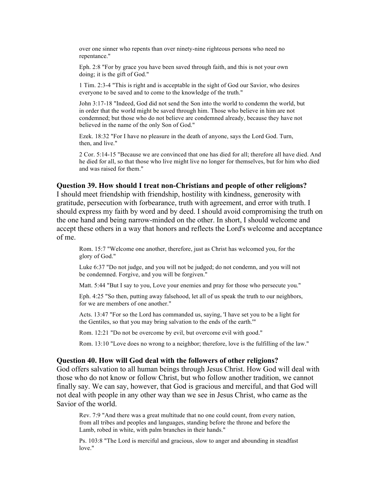over one sinner who repents than over ninety-nine righteous persons who need no repentance."

Eph. 2:8 "For by grace you have been saved through faith, and this is not your own doing; it is the gift of God."

1 Tim. 2:3-4 "This is right and is acceptable in the sight of God our Savior, who desires everyone to be saved and to come to the knowledge of the truth."

John 3:17-18 "Indeed, God did not send the Son into the world to condemn the world, but in order that the world might be saved through him. Those who believe in him are not condemned; but those who do not believe are condemned already, because they have not believed in the name of the only Son of God."

Ezek. 18:32 "For I have no pleasure in the death of anyone, says the Lord God. Turn, then, and live."

2 Cor. 5:14-15 "Because we are convinced that one has died for all; therefore all have died. And he died for all, so that those who live might live no longer for themselves, but for him who died and was raised for them."

#### **Question 39. How should I treat non-Christians and people of other religions?**

I should meet friendship with friendship, hostility with kindness, generosity with gratitude, persecution with forbearance, truth with agreement, and error with truth. I should express my faith by word and by deed. I should avoid compromising the truth on the one hand and being narrow-minded on the other. In short, I should welcome and accept these others in a way that honors and reflects the Lord's welcome and acceptance of me.

Rom. 15:7 "Welcome one another, therefore, just as Christ has welcomed you, for the glory of God."

Luke 6:37 "Do not judge, and you will not be judged; do not condemn, and you will not be condemned. Forgive, and you will be forgiven."

Matt. 5:44 "But I say to you, Love your enemies and pray for those who persecute you."

Eph. 4:25 "So then, putting away falsehood, let all of us speak the truth to our neighbors, for we are members of one another."

Acts. 13:47 "For so the Lord has commanded us, saying, 'I have set you to be a light for the Gentiles, so that you may bring salvation to the ends of the earth.'"

Rom. 12:21 "Do not be overcome by evil, but overcome evil with good."

Rom. 13:10 "Love does no wrong to a neighbor; therefore, love is the fulfilling of the law."

### **Question 40. How will God deal with the followers of other religions?**

God offers salvation to all human beings through Jesus Christ. How God will deal with those who do not know or follow Christ, but who follow another tradition, we cannot finally say. We can say, however, that God is gracious and merciful, and that God will not deal with people in any other way than we see in Jesus Christ, who came as the Savior of the world.

Rev. 7:9 "And there was a great multitude that no one could count, from every nation, from all tribes and peoples and languages, standing before the throne and before the Lamb, robed in white, with palm branches in their hands."

Ps. 103:8 "The Lord is merciful and gracious, slow to anger and abounding in steadfast love."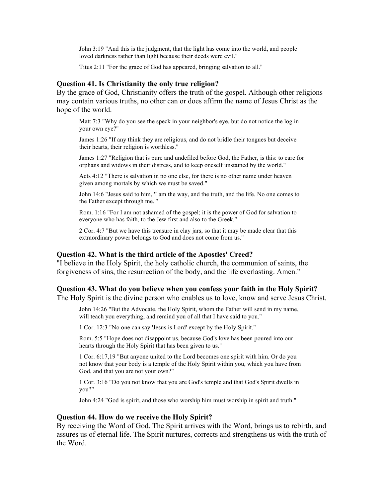John 3:19 "And this is the judgment, that the light has come into the world, and people loved darkness rather than light because their deeds were evil."

Titus 2:11 "For the grace of God has appeared, bringing salvation to all."

### **Question 41. Is Christianity the only true religion?**

By the grace of God, Christianity offers the truth of the gospel. Although other religions may contain various truths, no other can or does affirm the name of Jesus Christ as the hope of the world.

Matt 7:3 "Why do you see the speck in your neighbor's eye, but do not notice the log in your own eye?"

James 1:26 "If any think they are religious, and do not bridle their tongues but deceive their hearts, their religion is worthless."

James 1:27 "Religion that is pure and undefiled before God, the Father, is this: to care for orphans and widows in their distress, and to keep oneself unstained by the world."

Acts 4:12 "There is salvation in no one else, for there is no other name under heaven given among mortals by which we must be saved."

John 14:6 "Jesus said to him, 'I am the way, and the truth, and the life. No one comes to the Father except through me.'"

Rom. 1:16 "For I am not ashamed of the gospel; it is the power of God for salvation to everyone who has faith, to the Jew first and also to the Greek."

2 Cor. 4:7 "But we have this treasure in clay jars, so that it may be made clear that this extraordinary power belongs to God and does not come from us."

### **Question 42. What is the third article of the Apostles' Creed?**

"I believe in the Holy Spirit, the holy catholic church, the communion of saints, the forgiveness of sins, the resurrection of the body, and the life everlasting. Amen."

### **Question 43. What do you believe when you confess your faith in the Holy Spirit?**

The Holy Spirit is the divine person who enables us to love, know and serve Jesus Christ.

John 14:26 "But the Advocate, the Holy Spirit, whom the Father will send in my name, will teach you everything, and remind you of all that I have said to you."

1 Cor. 12:3 "No one can say 'Jesus is Lord' except by the Holy Spirit."

Rom. 5:5 "Hope does not disappoint us, because God's love has been poured into our hearts through the Holy Spirit that has been given to us."

1 Cor. 6:17,19 "But anyone united to the Lord becomes one spirit with him. Or do you not know that your body is a temple of the Holy Spirit within you, which you have from God, and that you are not your own?"

1 Cor. 3:16 "Do you not know that you are God's temple and that God's Spirit dwells in you?"

John 4:24 "God is spirit, and those who worship him must worship in spirit and truth."

### **Question 44. How do we receive the Holy Spirit?**

By receiving the Word of God. The Spirit arrives with the Word, brings us to rebirth, and assures us of eternal life. The Spirit nurtures, corrects and strengthens us with the truth of the Word.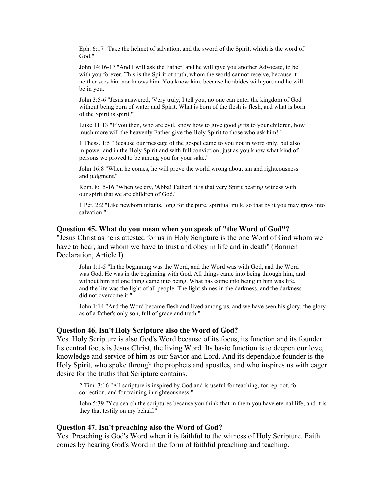Eph. 6:17 "Take the helmet of salvation, and the sword of the Spirit, which is the word of God."

John 14:16-17 "And I will ask the Father, and he will give you another Advocate, to be with you forever. This is the Spirit of truth, whom the world cannot receive, because it neither sees him nor knows him. You know him, because he abides with you, and he will be in you."

John 3:5-6 "Jesus answered, 'Very truly, I tell you, no one can enter the kingdom of God without being born of water and Spirit. What is born of the flesh is flesh, and what is born of the Spirit is spirit.'"

Luke 11:13 "If you then, who are evil, know how to give good gifts to your children, how much more will the heavenly Father give the Holy Spirit to those who ask him!"

1 Thess. 1:5 "Because our message of the gospel came to you not in word only, but also in power and in the Holy Spirit and with full conviction; just as you know what kind of persons we proved to be among you for your sake."

John 16:8 "When he comes, he will prove the world wrong about sin and righteousness and judgment."

Rom. 8:15-16 "When we cry, 'Abba! Father!' it is that very Spirit bearing witness with our spirit that we are children of God."

1 Pet. 2:2 "Like newborn infants, long for the pure, spiritual milk, so that by it you may grow into salvation."

### **Question 45. What do you mean when you speak of "the Word of God"?**

"Jesus Christ as he is attested for us in Holy Scripture is the one Word of God whom we have to hear, and whom we have to trust and obey in life and in death" (Barmen Declaration, Article I).

John 1:1-5 "In the beginning was the Word, and the Word was with God, and the Word was God. He was in the beginning with God. All things came into being through him, and without him not one thing came into being. What has come into being in him was life, and the life was the light of all people. The light shines in the darkness, and the darkness did not overcome it."

John 1:14 "And the Word became flesh and lived among us, and we have seen his glory, the glory as of a father's only son, full of grace and truth."

### **Question 46. Isn't Holy Scripture also the Word of God?**

Yes. Holy Scripture is also God's Word because of its focus, its function and its founder. Its central focus is Jesus Christ, the living Word. Its basic function is to deepen our love, knowledge and service of him as our Savior and Lord. And its dependable founder is the Holy Spirit, who spoke through the prophets and apostles, and who inspires us with eager desire for the truths that Scripture contains.

2 Tim. 3:16 "All scripture is inspired by God and is useful for teaching, for reproof, for correction, and for training in righteousness."

John 5:39 "You search the scriptures because you think that in them you have eternal life; and it is they that testify on my behalf."

## **Question 47. Isn't preaching also the Word of God?**

Yes. Preaching is God's Word when it is faithful to the witness of Holy Scripture. Faith comes by hearing God's Word in the form of faithful preaching and teaching.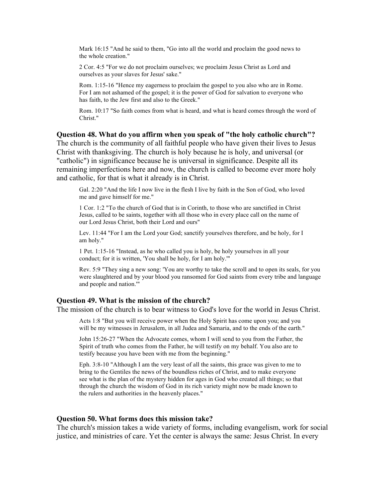Mark 16:15 "And he said to them, "Go into all the world and proclaim the good news to the whole creation."

2 Cor. 4:5 "For we do not proclaim ourselves; we proclaim Jesus Christ as Lord and ourselves as your slaves for Jesus' sake."

Rom. 1:15-16 "Hence my eagerness to proclaim the gospel to you also who are in Rome. For I am not ashamed of the gospel; it is the power of God for salvation to everyone who has faith, to the Jew first and also to the Greek."

Rom. 10:17 "So faith comes from what is heard, and what is heard comes through the word of Christ."

### **Question 48. What do you affirm when you speak of "the holy catholic church"?**

The church is the community of all faithful people who have given their lives to Jesus Christ with thanksgiving. The church is holy because he is holy, and universal (or "catholic") in significance because he is universal in significance. Despite all its remaining imperfections here and now, the church is called to become ever more holy and catholic, for that is what it already is in Christ.

Gal. 2:20 "And the life I now live in the flesh I live by faith in the Son of God, who loved me and gave himself for me."

1 Cor. 1:2 "To the church of God that is in Corinth, to those who are sanctified in Christ Jesus, called to be saints, together with all those who in every place call on the name of our Lord Jesus Christ, both their Lord and ours"

Lev. 11:44 "For I am the Lord your God; sanctify yourselves therefore, and be holy, for I am holy."

1 Pet. 1:15-16 "Instead, as he who called you is holy, be holy yourselves in all your conduct; for it is written, 'You shall be holy, for I am holy.'"

Rev. 5:9 "They sing a new song: 'You are worthy to take the scroll and to open its seals, for you were slaughtered and by your blood you ransomed for God saints from every tribe and language and people and nation.'"

### **Question 49. What is the mission of the church?**

The mission of the church is to bear witness to God's love for the world in Jesus Christ.

Acts 1:8 "But you will receive power when the Holy Spirit has come upon you; and you will be my witnesses in Jerusalem, in all Judea and Samaria, and to the ends of the earth."

John 15:26-27 "When the Advocate comes, whom I will send to you from the Father, the Spirit of truth who comes from the Father, he will testify on my behalf. You also are to testify because you have been with me from the beginning."

Eph. 3:8-10 "Although I am the very least of all the saints, this grace was given to me to bring to the Gentiles the news of the boundless riches of Christ, and to make everyone see what is the plan of the mystery hidden for ages in God who created all things; so that through the church the wisdom of God in its rich variety might now be made known to the rulers and authorities in the heavenly places."

### **Question 50. What forms does this mission take?**

The church's mission takes a wide variety of forms, including evangelism, work for social justice, and ministries of care. Yet the center is always the same: Jesus Christ. In every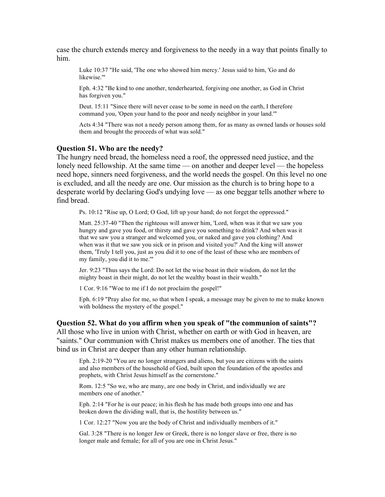case the church extends mercy and forgiveness to the needy in a way that points finally to him.

Luke 10:37 "He said, 'The one who showed him mercy.' Jesus said to him, 'Go and do likewise.'"

Eph. 4:32 "Be kind to one another, tenderhearted, forgiving one another, as God in Christ has forgiven you."

Deut. 15:11 "Since there will never cease to be some in need on the earth, I therefore command you, 'Open your hand to the poor and needy neighbor in your land.'"

Acts 4:34 "There was not a needy person among them, for as many as owned lands or houses sold them and brought the proceeds of what was sold."

### **Question 51. Who are the needy?**

The hungry need bread, the homeless need a roof, the oppressed need justice, and the lonely need fellowship. At the same time — on another and deeper level — the hopeless need hope, sinners need forgiveness, and the world needs the gospel. On this level no one is excluded, and all the needy are one. Our mission as the church is to bring hope to a desperate world by declaring God's undying love — as one beggar tells another where to find bread.

Ps. 10:12 "Rise up, O Lord; O God, lift up your hand; do not forget the oppressed."

Matt. 25:37-40 "Then the righteous will answer him, 'Lord, when was it that we saw you hungry and gave you food, or thirsty and gave you something to drink? And when was it that we saw you a stranger and welcomed you, or naked and gave you clothing? And when was it that we saw you sick or in prison and visited you?' And the king will answer them, 'Truly I tell you, just as you did it to one of the least of these who are members of my family, you did it to me.'"

Jer. 9:23 "Thus says the Lord: Do not let the wise boast in their wisdom, do not let the mighty boast in their might, do not let the wealthy boast in their wealth."

1 Cor. 9:16 "Woe to me if I do not proclaim the gospel!"

Eph. 6:19 "Pray also for me, so that when I speak, a message may be given to me to make known with boldness the mystery of the gospel."

#### **Question 52. What do you affirm when you speak of "the communion of saints"?**

All those who live in union with Christ, whether on earth or with God in heaven, are "saints." Our communion with Christ makes us members one of another. The ties that bind us in Christ are deeper than any other human relationship.

Eph. 2:19-20 "You are no longer strangers and aliens, but you are citizens with the saints and also members of the household of God, built upon the foundation of the apostles and prophets, with Christ Jesus himself as the cornerstone."

Rom. 12:5 "So we, who are many, are one body in Christ, and individually we are members one of another."

Eph. 2:14 "For he is our peace; in his flesh he has made both groups into one and has broken down the dividing wall, that is, the hostility between us."

1 Cor. 12:27 "Now you are the body of Christ and individually members of it."

Gal. 3:28 "There is no longer Jew or Greek, there is no longer slave or free, there is no longer male and female; for all of you are one in Christ Jesus."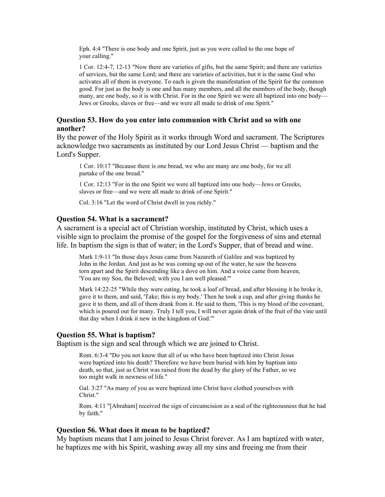Eph. 4:4 "There is one body and one Spirit, just as you were called to the one hope of your calling."

1 Cor. 12:4-7, 12-13 "Now there are varieties of gifts, but the same Spirit; and there are varieties of services, but the same Lord; and there are varieties of activities, but it is the same God who activates all of them in everyone. To each is given the manifestation of the Spirit for the common good. For just as the body is one and has many members, and all the members of the body, though many, are one body, so it is with Christ. For in the one Spirit we were all baptized into one body— Jews or Greeks, slaves or free—and we were all made to drink of one Spirit."

# **Question 53. How do you enter into communion with Christ and so with one another?**

By the power of the Holy Spirit as it works through Word and sacrament. The Scriptures acknowledge two sacraments as instituted by our Lord Jesus Christ — baptism and the Lord's Supper.

1 Cor. 10:17 "Because there is one bread, we who are many are one body, for we all partake of the one bread."

1 Cor. 12:13 "For in the one Spirit we were all baptized into one body—Jews or Greeks, slaves or free—and we were all made to drink of one Spirit."

Col. 3:16 "Let the word of Christ dwell in you richly."

# **Question 54. What is a sacrament?**

A sacrament is a special act of Christian worship, instituted by Christ, which uses a visible sign to proclaim the promise of the gospel for the forgiveness of sins and eternal life. In baptism the sign is that of water; in the Lord's Supper, that of bread and wine.

Mark 1:9-11 "In those days Jesus came from Nazareth of Galilee and was baptized by John in the Jordan. And just as he was coming up out of the water, he saw the heavens torn apart and the Spirit descending like a dove on him. And a voice came from heaven, 'You are my Son, the Beloved; with you I am well pleased.'"

Mark 14:22-25 "While they were eating, he took a loaf of bread, and after blessing it he broke it, gave it to them, and said, 'Take; this is my body.' Then he took a cup, and after giving thanks he gave it to them, and all of them drank from it. He said to them, 'This is my blood of the covenant, which is poured out for many. Truly I tell you, I will never again drink of the fruit of the vine until that day when I drink it new in the kingdom of God.'"

### **Question 55. What is baptism?**

Baptism is the sign and seal through which we are joined to Christ.

Rom. 6:3-4 "Do you not know that all of us who have been baptized into Christ Jesus were baptized into his death? Therefore we have been buried with him by baptism into death, so that, just as Christ was raised from the dead by the glory of the Father, so we too might walk in newness of life."

Gal. 3:27 "As many of you as were baptized into Christ have clothed yourselves with Christ<sup>"</sup>

Rom. 4:11 "[Abraham] received the sign of circumcision as a seal of the righteousness that he had by faith."

### **Question 56. What does it mean to be baptized?**

My baptism means that I am joined to Jesus Christ forever. As I am baptized with water, he baptizes me with his Spirit, washing away all my sins and freeing me from their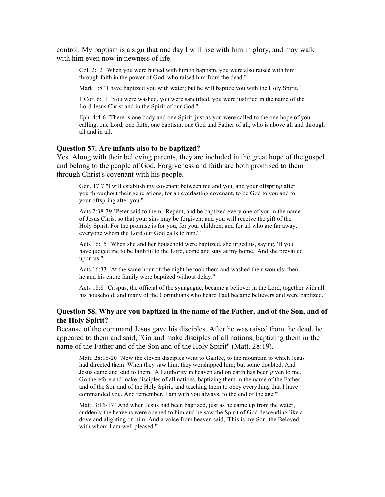control. My baptism is a sign that one day I will rise with him in glory, and may walk with him even now in newness of life.

Col. 2:12 "When you were buried with him in baptism, you were also raised with him through faith in the power of God, who raised him from the dead."

Mark 1:8 "I have baptized you with water; but he will baptize you with the Holy Spirit."

1 Cor. 6:11 "You were washed, you were sanctified, you were justified in the name of the Lord Jesus Christ and in the Spirit of our God."

Eph. 4:4-6 "There is one body and one Spirit, just as you were called to the one hope of your calling, one Lord, one faith, one baptism, one God and Father of all, who is above all and through all and in all."

### **Question 57. Are infants also to be baptized?**

Yes. Along with their believing parents, they are included in the great hope of the gospel and belong to the people of God. Forgiveness and faith are both promised to them through Christ's covenant with his people.

Gen. 17:7 "I will establish my covenant between me and you, and your offspring after you throughout their generations, for an everlasting covenant, to be God to you and to your offspring after you."

Acts 2:38-39 "Peter said to them, 'Repent, and be baptized every one of you in the name of Jesus Christ so that your sins may be forgiven; and you will receive the gift of the Holy Spirit. For the promise is for you, for your children, and for all who are far away, everyone whom the Lord our God calls to him.'"

Acts 16:15 "When she and her household were baptized, she urged us, saying, 'If you have judged me to be faithful to the Lord, come and stay at my home.' And she prevailed upon us."

Acts 16:33 "At the same hour of the night he took them and washed their wounds; then he and his entire family were baptized without delay."

Acts 18:8 "Crispus, the official of the synagogue, became a believer in the Lord, together with all his household; and many of the Corinthians who heard Paul became believers and were baptized."

# **Question 58. Why are you baptized in the name of the Father, and of the Son, and of the Holy Spirit?**

Because of the command Jesus gave his disciples. After he was raised from the dead, he appeared to them and said, "Go and make disciples of all nations, baptizing them in the name of the Father and of the Son and of the Holy Spirit" (Matt. 28:19).

Matt. 28:16-20 "Now the eleven disciples went to Galilee, to the mountain to which Jesus had directed them. When they saw him, they worshipped him; but some doubted. And Jesus came and said to them, 'All authority in heaven and on earth has been given to me. Go therefore and make disciples of all nations, baptizing them in the name of the Father and of the Son and of the Holy Spirit, and teaching them to obey everything that I have commanded you. And remember, I am with you always, to the end of the age.'"

Matt. 3:16-17 "And when Jesus had been baptized, just as he came up from the water, suddenly the heavens were opened to him and he saw the Spirit of God descending like a dove and alighting on him. And a voice from heaven said, 'This is my Son, the Beloved, with whom I am well pleased.'"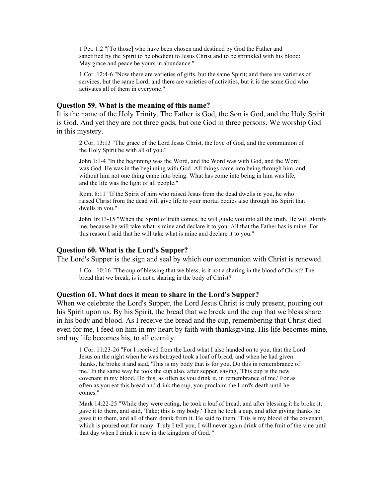1 Pet. 1:2 "[To those] who have been chosen and destined by God the Father and sanctified by the Spirit to be obedient to Jesus Christ and to be sprinkled with his blood: May grace and peace be yours in abundance."

1 Cor. 12:4-6 "Now there are varieties of gifts, but the same Spirit; and there are varieties of services, but the same Lord; and there are varieties of activities, but it is the same God who activates all of them in everyone."

# **Question 59. What is the meaning of this name?**

It is the name of the Holy Trinity. The Father is God, the Son is God, and the Holy Spirit is God. And yet they are not three gods, but one God in three persons. We worship God in this mystery.

2 Cor. 13:13 "The grace of the Lord Jesus Christ, the love of God, and the communion of the Holy Spirit be with all of you."

John 1:1-4 "In the beginning was the Word, and the Word was with God, and the Word was God. He was in the beginning with God. All things came into being through him, and without him not one thing came into being. What has come into being in him was life, and the life was the light of all people."

Rom. 8:11 "If the Spirit of him who raised Jesus from the dead dwells in you, he who raised Christ from the dead will give life to your mortal bodies also through his Spirit that dwells in you."

John 16:13-15 "When the Spirit of truth comes, he will guide you into all the truth. He will glorify me, because he will take what is mine and declare it to you. All that the Father has is mine. For this reason I said that he will take what is mine and declare it to you."

### **Question 60. What is the Lord's Supper?**

The Lord's Supper is the sign and seal by which our communion with Christ is renewed.

1 Cor. 10:16 "The cup of blessing that we bless, is it not a sharing in the blood of Christ? The bread that we break, is it not a sharing in the body of Christ?"

### **Question 61. What does it mean to share in the Lord's Supper?**

When we celebrate the Lord's Supper, the Lord Jesus Christ is truly present, pouring out his Spirit upon us. By his Spirit, the bread that we break and the cup that we bless share in his body and blood. As I receive the bread and the cup, remembering that Christ died even for me, I feed on him in my heart by faith with thanksgiving. His life becomes mine, and my life becomes his, to all eternity.

1 Cor. 11:23-26 "For I received from the Lord what I also handed on to you, that the Lord Jesus on the night when he was betrayed took a loaf of bread, and when he had given thanks, he broke it and said, 'This is my body that is for you. Do this in remembrance of me.' In the same way he took the cup also, after supper, saying, 'This cup is the new covenant in my blood. Do this, as often as you drink it, in remembrance of me.' For as often as you eat this bread and drink the cup, you proclaim the Lord's death until he comes."

Mark 14:22-25 "While they were eating, he took a loaf of bread, and after blessing it he broke it, gave it to them, and said, 'Take; this is my body.' Then he took a cup, and after giving thanks he gave it to them, and all of them drank from it. He said to them, 'This is my blood of the covenant, which is poured out for many. Truly I tell you, I will never again drink of the fruit of the vine until that day when I drink it new in the kingdom of God.'"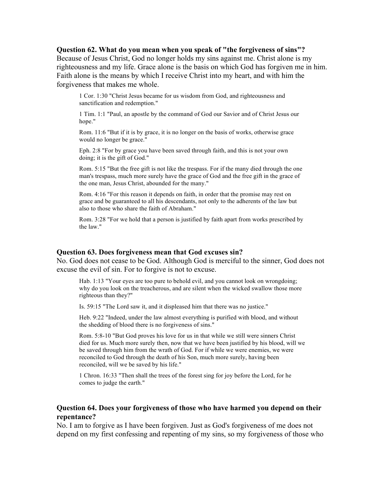**Question 62. What do you mean when you speak of "the forgiveness of sins"?** Because of Jesus Christ, God no longer holds my sins against me. Christ alone is my righteousness and my life. Grace alone is the basis on which God has forgiven me in him. Faith alone is the means by which I receive Christ into my heart, and with him the forgiveness that makes me whole.

1 Cor. 1:30 "Christ Jesus became for us wisdom from God, and righteousness and sanctification and redemption."

1 Tim. 1:1 "Paul, an apostle by the command of God our Savior and of Christ Jesus our hope."

Rom. 11:6 "But if it is by grace, it is no longer on the basis of works, otherwise grace would no longer be grace."

Eph. 2:8 "For by grace you have been saved through faith, and this is not your own doing; it is the gift of God."

Rom. 5:15 "But the free gift is not like the trespass. For if the many died through the one man's trespass, much more surely have the grace of God and the free gift in the grace of the one man, Jesus Christ, abounded for the many."

Rom. 4:16 "For this reason it depends on faith, in order that the promise may rest on grace and be guaranteed to all his descendants, not only to the adherents of the law but also to those who share the faith of Abraham."

Rom. 3:28 "For we hold that a person is justified by faith apart from works prescribed by the law."

## **Question 63. Does forgiveness mean that God excuses sin?**

No. God does not cease to be God. Although God is merciful to the sinner, God does not excuse the evil of sin. For to forgive is not to excuse.

Hab. 1:13 "Your eyes are too pure to behold evil, and you cannot look on wrongdoing; why do you look on the treacherous, and are silent when the wicked swallow those more righteous than they?"

Is. 59:15 "The Lord saw it, and it displeased him that there was no justice."

Heb. 9:22 "Indeed, under the law almost everything is purified with blood, and without the shedding of blood there is no forgiveness of sins."

Rom. 5:8-10 "But God proves his love for us in that while we still were sinners Christ died for us. Much more surely then, now that we have been justified by his blood, will we be saved through him from the wrath of God. For if while we were enemies, we were reconciled to God through the death of his Son, much more surely, having been reconciled, will we be saved by his life."

1 Chron. 16:33 "Then shall the trees of the forest sing for joy before the Lord, for he comes to judge the earth."

# **Question 64. Does your forgiveness of those who have harmed you depend on their repentance?**

No. I am to forgive as I have been forgiven. Just as God's forgiveness of me does not depend on my first confessing and repenting of my sins, so my forgiveness of those who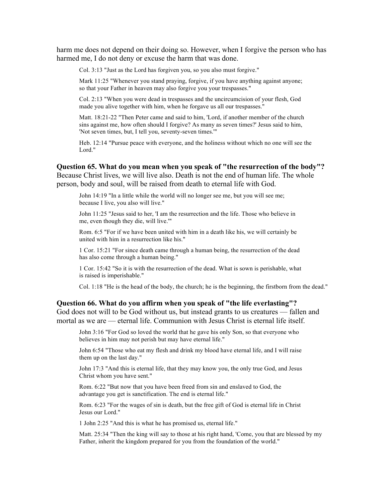harm me does not depend on their doing so. However, when I forgive the person who has harmed me, I do not deny or excuse the harm that was done.

Col. 3:13 "Just as the Lord has forgiven you, so you also must forgive."

Mark 11:25 "Whenever you stand praying, forgive, if you have anything against anyone; so that your Father in heaven may also forgive you your trespasses."

Col. 2:13 "When you were dead in trespasses and the uncircumcision of your flesh, God made you alive together with him, when he forgave us all our trespasses."

Matt. 18:21-22 "Then Peter came and said to him, 'Lord, if another member of the church sins against me, how often should I forgive? As many as seven times?' Jesus said to him, 'Not seven times, but, I tell you, seventy-seven times.'"

Heb. 12:14 "Pursue peace with everyone, and the holiness without which no one will see the Lord."

**Question 65. What do you mean when you speak of "the resurrection of the body"?** Because Christ lives, we will live also. Death is not the end of human life. The whole person, body and soul, will be raised from death to eternal life with God.

John 14:19 "In a little while the world will no longer see me, but you will see me; because I live, you also will live."

John 11:25 "Jesus said to her, 'I am the resurrection and the life. Those who believe in me, even though they die, will live.'"

Rom. 6:5 "For if we have been united with him in a death like his, we will certainly be united with him in a resurrection like his."

1 Cor. 15:21 "For since death came through a human being, the resurrection of the dead has also come through a human being."

1 Cor. 15:42 "So it is with the resurrection of the dead. What is sown is perishable, what is raised is imperishable."

Col. 1:18 "He is the head of the body, the church; he is the beginning, the firstborn from the dead."

### **Question 66. What do you affirm when you speak of "the life everlasting"?**

God does not will to be God without us, but instead grants to us creatures — fallen and mortal as we are — eternal life. Communion with Jesus Christ is eternal life itself.

John 3:16 "For God so loved the world that he gave his only Son, so that everyone who believes in him may not perish but may have eternal life."

John 6:54 "Those who eat my flesh and drink my blood have eternal life, and I will raise them up on the last day."

John 17:3 "And this is eternal life, that they may know you, the only true God, and Jesus Christ whom you have sent."

Rom. 6:22 "But now that you have been freed from sin and enslaved to God, the advantage you get is sanctification. The end is eternal life."

Rom. 6:23 "For the wages of sin is death, but the free gift of God is eternal life in Christ Jesus our Lord."

1 John 2:25 "And this is what he has promised us, eternal life."

Matt. 25:34 "Then the king will say to those at his right hand, 'Come, you that are blessed by my Father, inherit the kingdom prepared for you from the foundation of the world."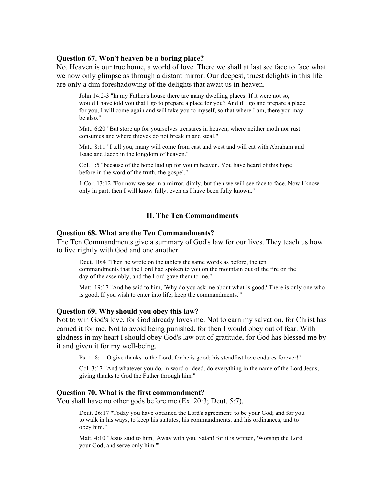### **Question 67. Won't heaven be a boring place?**

No. Heaven is our true home, a world of love. There we shall at last see face to face what we now only glimpse as through a distant mirror. Our deepest, truest delights in this life are only a dim foreshadowing of the delights that await us in heaven.

John 14:2-3 "In my Father's house there are many dwelling places. If it were not so, would I have told you that I go to prepare a place for you? And if I go and prepare a place for you, I will come again and will take you to myself, so that where I am, there you may be also."

Matt. 6:20 "But store up for yourselves treasures in heaven, where neither moth nor rust consumes and where thieves do not break in and steal."

Matt. 8:11 "I tell you, many will come from east and west and will eat with Abraham and Isaac and Jacob in the kingdom of heaven."

Col. 1:5 "because of the hope laid up for you in heaven. You have heard of this hope before in the word of the truth, the gospel."

1 Cor. 13:12 "For now we see in a mirror, dimly, but then we will see face to face. Now I know only in part; then I will know fully, even as I have been fully known."

# **II. The Ten Commandments**

### **Question 68. What are the Ten Commandments?**

The Ten Commandments give a summary of God's law for our lives. They teach us how to live rightly with God and one another.

Deut. 10:4 "Then he wrote on the tablets the same words as before, the ten commandments that the Lord had spoken to you on the mountain out of the fire on the day of the assembly; and the Lord gave them to me."

Matt. 19:17 "And he said to him, 'Why do you ask me about what is good? There is only one who is good. If you wish to enter into life, keep the commandments.'"

#### **Question 69. Why should you obey this law?**

Not to win God's love, for God already loves me. Not to earn my salvation, for Christ has earned it for me. Not to avoid being punished, for then I would obey out of fear. With gladness in my heart I should obey God's law out of gratitude, for God has blessed me by it and given it for my well-being.

Ps. 118:1 "O give thanks to the Lord, for he is good; his steadfast love endures forever!"

Col. 3:17 "And whatever you do, in word or deed, do everything in the name of the Lord Jesus, giving thanks to God the Father through him."

#### **Question 70. What is the first commandment?**

You shall have no other gods before me (Ex. 20:3; Deut. 5:7).

Deut. 26:17 "Today you have obtained the Lord's agreement: to be your God; and for you to walk in his ways, to keep his statutes, his commandments, and his ordinances, and to obey him."

Matt. 4:10 "Jesus said to him, 'Away with you, Satan! for it is written, 'Worship the Lord your God, and serve only him.'"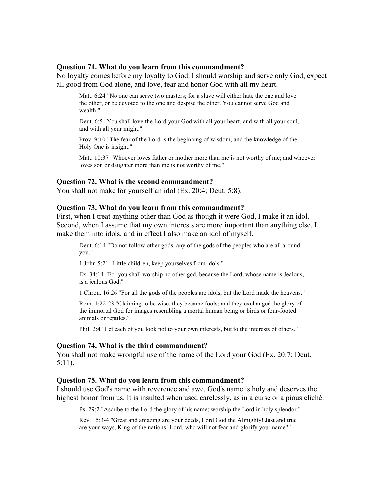### **Question 71. What do you learn from this commandment?**

No loyalty comes before my loyalty to God. I should worship and serve only God, expect all good from God alone, and love, fear and honor God with all my heart.

Matt. 6:24 "No one can serve two masters; for a slave will either hate the one and love the other, or be devoted to the one and despise the other. You cannot serve God and wealth."

Deut. 6:5 "You shall love the Lord your God with all your heart, and with all your soul, and with all your might."

Prov. 9:10 "The fear of the Lord is the beginning of wisdom, and the knowledge of the Holy One is insight."

Matt. 10:37 "Whoever loves father or mother more than me is not worthy of me; and whoever loves son or daughter more than me is not worthy of me."

#### **Question 72. What is the second commandment?**

You shall not make for yourself an idol (Ex. 20:4; Deut. 5:8).

### **Question 73. What do you learn from this commandment?**

First, when I treat anything other than God as though it were God, I make it an idol. Second, when I assume that my own interests are more important than anything else, I make them into idols, and in effect I also make an idol of myself.

Deut. 6:14 "Do not follow other gods, any of the gods of the peoples who are all around you."

1 John 5:21 "Little children, keep yourselves from idols."

Ex. 34:14 "For you shall worship no other god, because the Lord, whose name is Jealous, is a jealous God."

1 Chron. 16:26 "For all the gods of the peoples are idols, but the Lord made the heavens."

Rom. 1:22-23 "Claiming to be wise, they became fools; and they exchanged the glory of the immortal God for images resembling a mortal human being or birds or four-footed animals or reptiles."

Phil. 2:4 "Let each of you look not to your own interests, but to the interests of others."

### **Question 74. What is the third commandment?**

You shall not make wrongful use of the name of the Lord your God (Ex. 20:7; Deut. 5:11).

#### **Question 75. What do you learn from this commandment?**

I should use God's name with reverence and awe. God's name is holy and deserves the highest honor from us. It is insulted when used carelessly, as in a curse or a pious cliché.

Ps. 29:2 "Ascribe to the Lord the glory of his name; worship the Lord in holy splendor."

Rev. 15:3-4 "Great and amazing are your deeds, Lord God the Almighty! Just and true are your ways, King of the nations! Lord, who will not fear and glorify your name?"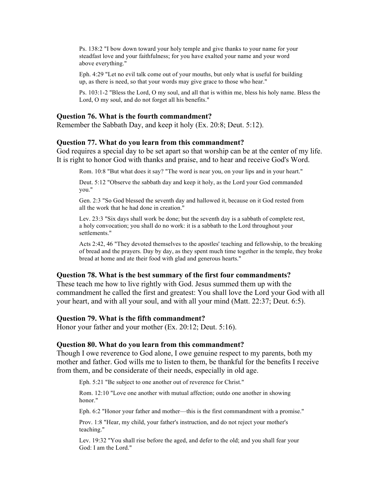Ps. 138:2 "I bow down toward your holy temple and give thanks to your name for your steadfast love and your faithfulness; for you have exalted your name and your word above everything."

Eph. 4:29 "Let no evil talk come out of your mouths, but only what is useful for building up, as there is need, so that your words may give grace to those who hear."

Ps. 103:1-2 "Bless the Lord, O my soul, and all that is within me, bless his holy name. Bless the Lord, O my soul, and do not forget all his benefits."

#### **Question 76. What is the fourth commandment?**

Remember the Sabbath Day, and keep it holy (Ex. 20:8; Deut. 5:12).

### **Question 77. What do you learn from this commandment?**

God requires a special day to be set apart so that worship can be at the center of my life. It is right to honor God with thanks and praise, and to hear and receive God's Word.

Rom. 10:8 "But what does it say? "The word is near you, on your lips and in your heart."

Deut. 5:12 "Observe the sabbath day and keep it holy, as the Lord your God commanded you."

Gen. 2:3 "So God blessed the seventh day and hallowed it, because on it God rested from all the work that he had done in creation."

Lev. 23:3 "Six days shall work be done; but the seventh day is a sabbath of complete rest, a holy convocation; you shall do no work: it is a sabbath to the Lord throughout your settlements."

Acts 2:42, 46 "They devoted themselves to the apostles' teaching and fellowship, to the breaking of bread and the prayers. Day by day, as they spent much time together in the temple, they broke bread at home and ate their food with glad and generous hearts."

#### **Question 78. What is the best summary of the first four commandments?**

These teach me how to live rightly with God. Jesus summed them up with the commandment he called the first and greatest: You shall love the Lord your God with all your heart, and with all your soul, and with all your mind (Matt. 22:37; Deut. 6:5).

#### **Question 79. What is the fifth commandment?**

Honor your father and your mother (Ex. 20:12; Deut. 5:16).

#### **Question 80. What do you learn from this commandment?**

Though I owe reverence to God alone, I owe genuine respect to my parents, both my mother and father. God wills me to listen to them, be thankful for the benefits I receive from them, and be considerate of their needs, especially in old age.

Eph. 5:21 "Be subject to one another out of reverence for Christ."

Rom. 12:10 "Love one another with mutual affection; outdo one another in showing honor."

Eph. 6:2 "Honor your father and mother—this is the first commandment with a promise."

Prov. 1:8 "Hear, my child, your father's instruction, and do not reject your mother's teaching."

Lev. 19:32 "You shall rise before the aged, and defer to the old; and you shall fear your God: I am the Lord."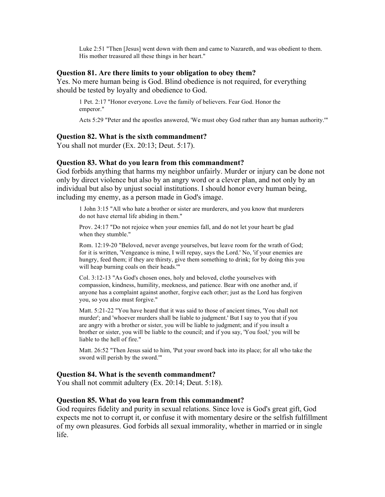Luke 2:51 "Then [Jesus] went down with them and came to Nazareth, and was obedient to them. His mother treasured all these things in her heart."

### **Question 81. Are there limits to your obligation to obey them?**

Yes. No mere human being is God. Blind obedience is not required, for everything should be tested by loyalty and obedience to God.

1 Pet. 2:17 "Honor everyone. Love the family of believers. Fear God. Honor the emperor."

Acts 5:29 "Peter and the apostles answered, 'We must obey God rather than any human authority.'"

### **Question 82. What is the sixth commandment?**

You shall not murder (Ex. 20:13; Deut. 5:17).

## **Question 83. What do you learn from this commandment?**

God forbids anything that harms my neighbor unfairly. Murder or injury can be done not only by direct violence but also by an angry word or a clever plan, and not only by an individual but also by unjust social institutions. I should honor every human being, including my enemy, as a person made in God's image.

1 John 3:15 "All who hate a brother or sister are murderers, and you know that murderers do not have eternal life abiding in them."

Prov. 24:17 "Do not rejoice when your enemies fall, and do not let your heart be glad when they stumble."

Rom. 12:19-20 "Beloved, never avenge yourselves, but leave room for the wrath of God; for it is written, 'Vengeance is mine, I will repay, says the Lord.' No, 'if your enemies are hungry, feed them; if they are thirsty, give them something to drink; for by doing this you will heap burning coals on their heads.'"

Col. 3:12-13 "As God's chosen ones, holy and beloved, clothe yourselves with compassion, kindness, humility, meekness, and patience. Bear with one another and, if anyone has a complaint against another, forgive each other; just as the Lord has forgiven you, so you also must forgive."

Matt. 5:21-22 "You have heard that it was said to those of ancient times, 'You shall not murder'; and 'whoever murders shall be liable to judgment.' But I say to you that if you are angry with a brother or sister, you will be liable to judgment; and if you insult a brother or sister, you will be liable to the council; and if you say, 'You fool,' you will be liable to the hell of fire."

Matt. 26:52 "Then Jesus said to him, 'Put your sword back into its place; for all who take the sword will perish by the sword.'"

### **Question 84. What is the seventh commandment?**

You shall not commit adultery (Ex. 20:14; Deut. 5:18).

# **Question 85. What do you learn from this commandment?**

God requires fidelity and purity in sexual relations. Since love is God's great gift, God expects me not to corrupt it, or confuse it with momentary desire or the selfish fulfillment of my own pleasures. God forbids all sexual immorality, whether in married or in single life.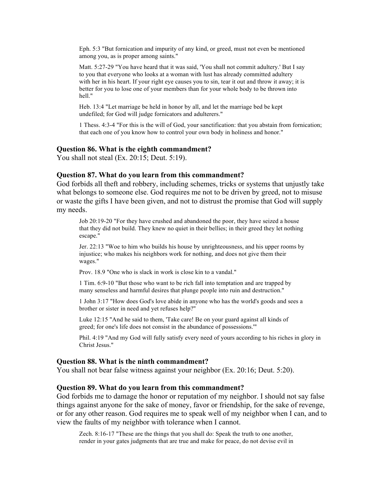Eph. 5:3 "But fornication and impurity of any kind, or greed, must not even be mentioned among you, as is proper among saints."

Matt. 5:27-29 "You have heard that it was said, 'You shall not commit adultery.' But I say to you that everyone who looks at a woman with lust has already committed adultery with her in his heart. If your right eye causes you to sin, tear it out and throw it away; it is better for you to lose one of your members than for your whole body to be thrown into hell."

Heb. 13:4 "Let marriage be held in honor by all, and let the marriage bed be kept undefiled; for God will judge fornicators and adulterers."

1 Thess. 4:3-4 "For this is the will of God, your sanctification: that you abstain from fornication; that each one of you know how to control your own body in holiness and honor."

### **Question 86. What is the eighth commandment?**

You shall not steal (Ex. 20:15; Deut. 5:19).

#### **Question 87. What do you learn from this commandment?**

God forbids all theft and robbery, including schemes, tricks or systems that unjustly take what belongs to someone else. God requires me not to be driven by greed, not to misuse or waste the gifts I have been given, and not to distrust the promise that God will supply my needs.

Job 20:19-20 "For they have crushed and abandoned the poor, they have seized a house that they did not build. They knew no quiet in their bellies; in their greed they let nothing escape."

Jer. 22:13 "Woe to him who builds his house by unrighteousness, and his upper rooms by injustice; who makes his neighbors work for nothing, and does not give them their wages."

Prov. 18.9 "One who is slack in work is close kin to a vandal."

1 Tim. 6:9-10 "But those who want to be rich fall into temptation and are trapped by many senseless and harmful desires that plunge people into ruin and destruction."

1 John 3:17 "How does God's love abide in anyone who has the world's goods and sees a brother or sister in need and yet refuses help?"

Luke 12:15 "And he said to them, 'Take care! Be on your guard against all kinds of greed; for one's life does not consist in the abundance of possessions.'"

Phil. 4:19 "And my God will fully satisfy every need of yours according to his riches in glory in Christ Jesus."

### **Question 88. What is the ninth commandment?**

You shall not bear false witness against your neighbor (Ex. 20:16; Deut. 5:20).

### **Question 89. What do you learn from this commandment?**

God forbids me to damage the honor or reputation of my neighbor. I should not say false things against anyone for the sake of money, favor or friendship, for the sake of revenge, or for any other reason. God requires me to speak well of my neighbor when I can, and to view the faults of my neighbor with tolerance when I cannot.

Zech. 8:16-17 "These are the things that you shall do: Speak the truth to one another, render in your gates judgments that are true and make for peace, do not devise evil in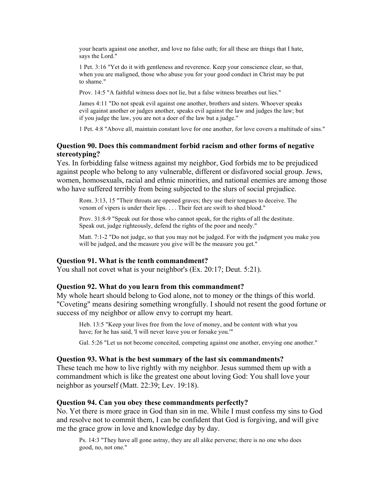your hearts against one another, and love no false oath; for all these are things that I hate, says the Lord."

1 Pet. 3:16 "Yet do it with gentleness and reverence. Keep your conscience clear, so that, when you are maligned, those who abuse you for your good conduct in Christ may be put to shame."

Prov. 14:5 "A faithful witness does not lie, but a false witness breathes out lies."

James 4:11 "Do not speak evil against one another, brothers and sisters. Whoever speaks evil against another or judges another, speaks evil against the law and judges the law; but if you judge the law, you are not a doer of the law but a judge."

1 Pet. 4:8 "Above all, maintain constant love for one another, for love covers a multitude of sins."

# **Question 90. Does this commandment forbid racism and other forms of negative stereotyping?**

Yes. In forbidding false witness against my neighbor, God forbids me to be prejudiced against people who belong to any vulnerable, different or disfavored social group. Jews, women, homosexuals, racial and ethnic minorities, and national enemies are among those who have suffered terribly from being subjected to the slurs of social prejudice.

Rom. 3:13, 15 "Their throats are opened graves; they use their tongues to deceive. The venom of vipers is under their lips. . . . Their feet are swift to shed blood."

Prov. 31:8-9 "Speak out for those who cannot speak, for the rights of all the destitute. Speak out, judge righteously, defend the rights of the poor and needy."

Matt. 7:1-2 "Do not judge, so that you may not be judged. For with the judgment you make you will be judged, and the measure you give will be the measure you get."

### **Question 91. What is the tenth commandment?**

You shall not covet what is your neighbor's (Ex. 20:17; Deut. 5:21).

### **Question 92. What do you learn from this commandment?**

My whole heart should belong to God alone, not to money or the things of this world. "Coveting" means desiring something wrongfully. I should not resent the good fortune or success of my neighbor or allow envy to corrupt my heart.

Heb. 13:5 "Keep your lives free from the love of money, and be content with what you have; for he has said, 'I will never leave you or forsake you.'"

Gal. 5:26 "Let us not become conceited, competing against one another, envying one another."

### **Question 93. What is the best summary of the last six commandments?**

These teach me how to live rightly with my neighbor. Jesus summed them up with a commandment which is like the greatest one about loving God: You shall love your neighbor as yourself (Matt. 22:39; Lev. 19:18).

#### **Question 94. Can you obey these commandments perfectly?**

No. Yet there is more grace in God than sin in me. While I must confess my sins to God and resolve not to commit them, I can be confident that God is forgiving, and will give me the grace grow in love and knowledge day by day.

Ps. 14:3 "They have all gone astray, they are all alike perverse; there is no one who does good, no, not one."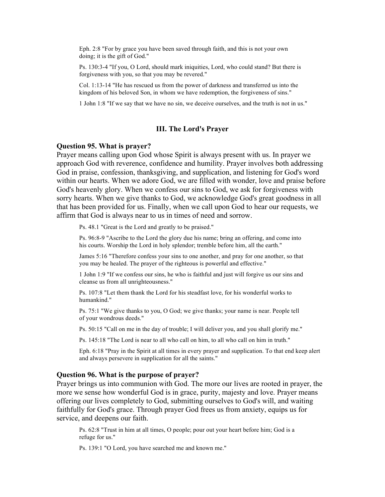Eph. 2:8 "For by grace you have been saved through faith, and this is not your own doing; it is the gift of God."

Ps. 130:3-4 "If you, O Lord, should mark iniquities, Lord, who could stand? But there is forgiveness with you, so that you may be revered."

Col. 1:13-14 "He has rescued us from the power of darkness and transferred us into the kingdom of his beloved Son, in whom we have redemption, the forgiveness of sins."

1 John 1:8 "If we say that we have no sin, we deceive ourselves, and the truth is not in us."

#### **III. The Lord's Prayer**

### **Question 95. What is prayer?**

Prayer means calling upon God whose Spirit is always present with us. In prayer we approach God with reverence, confidence and humility. Prayer involves both addressing God in praise, confession, thanksgiving, and supplication, and listening for God's word within our hearts. When we adore God, we are filled with wonder, love and praise before God's heavenly glory. When we confess our sins to God, we ask for forgiveness with sorry hearts. When we give thanks to God, we acknowledge God's great goodness in all that has been provided for us. Finally, when we call upon God to hear our requests, we affirm that God is always near to us in times of need and sorrow.

Ps. 48.1 "Great is the Lord and greatly to be praised."

Ps. 96:8-9 "Ascribe to the Lord the glory due his name; bring an offering, and come into his courts. Worship the Lord in holy splendor; tremble before him, all the earth."

James 5:16 "Therefore confess your sins to one another, and pray for one another, so that you may be healed. The prayer of the righteous is powerful and effective."

1 John 1:9 "If we confess our sins, he who is faithful and just will forgive us our sins and cleanse us from all unrighteousness."

Ps. 107:8 "Let them thank the Lord for his steadfast love, for his wonderful works to humankind."

Ps. 75:1 "We give thanks to you, O God; we give thanks; your name is near. People tell of your wondrous deeds."

Ps. 50:15 "Call on me in the day of trouble; I will deliver you, and you shall glorify me."

Ps. 145:18 "The Lord is near to all who call on him, to all who call on him in truth."

Eph. 6:18 "Pray in the Spirit at all times in every prayer and supplication. To that end keep alert and always persevere in supplication for all the saints."

# **Question 96. What is the purpose of prayer?**

Prayer brings us into communion with God. The more our lives are rooted in prayer, the more we sense how wonderful God is in grace, purity, majesty and love. Prayer means offering our lives completely to God, submitting ourselves to God's will, and waiting faithfully for God's grace. Through prayer God frees us from anxiety, equips us for service, and deepens our faith.

Ps. 62:8 "Trust in him at all times, O people; pour out your heart before him; God is a refuge for us."

Ps. 139:1 "O Lord, you have searched me and known me."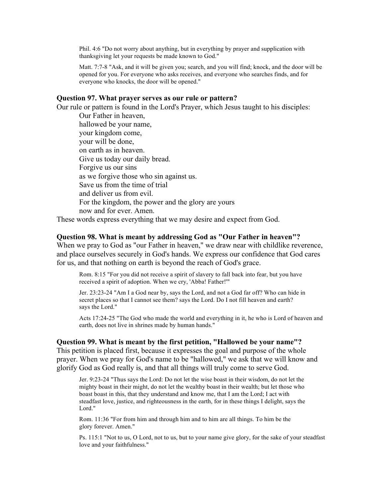Phil. 4:6 "Do not worry about anything, but in everything by prayer and supplication with thanksgiving let your requests be made known to God."

Matt. 7:7-8 "Ask, and it will be given you; search, and you will find; knock, and the door will be opened for you. For everyone who asks receives, and everyone who searches finds, and for everyone who knocks, the door will be opened."

### **Question 97. What prayer serves as our rule or pattern?**

Our rule or pattern is found in the Lord's Prayer, which Jesus taught to his disciples:

Our Father in heaven, hallowed be your name, your kingdom come, your will be done, on earth as in heaven. Give us today our daily bread. Forgive us our sins as we forgive those who sin against us. Save us from the time of trial and deliver us from evil. For the kingdom, the power and the glory are yours now and for ever. Amen.

These words express everything that we may desire and expect from God.

#### **Question 98. What is meant by addressing God as "Our Father in heaven"?**

When we pray to God as "our Father in heaven," we draw near with childlike reverence, and place ourselves securely in God's hands. We express our confidence that God cares for us, and that nothing on earth is beyond the reach of God's grace.

Rom. 8:15 "For you did not receive a spirit of slavery to fall back into fear, but you have received a spirit of adoption. When we cry, 'Abba! Father!'"

Jer. 23:23-24 "Am I a God near by, says the Lord, and not a God far off? Who can hide in secret places so that I cannot see them? says the Lord. Do I not fill heaven and earth? says the Lord."

Acts 17:24-25 "The God who made the world and everything in it, he who is Lord of heaven and earth, does not live in shrines made by human hands."

#### **Question 99. What is meant by the first petition, "Hallowed be your name"?**

This petition is placed first, because it expresses the goal and purpose of the whole prayer. When we pray for God's name to be "hallowed," we ask that we will know and glorify God as God really is, and that all things will truly come to serve God.

Jer. 9:23-24 "Thus says the Lord: Do not let the wise boast in their wisdom, do not let the mighty boast in their might, do not let the wealthy boast in their wealth; but let those who boast boast in this, that they understand and know me, that I am the Lord; I act with steadfast love, justice, and righteousness in the earth, for in these things I delight, says the Lord."

Rom. 11:36 "For from him and through him and to him are all things. To him be the glory forever. Amen."

Ps. 115:1 "Not to us, O Lord, not to us, but to your name give glory, for the sake of your steadfast love and your faithfulness."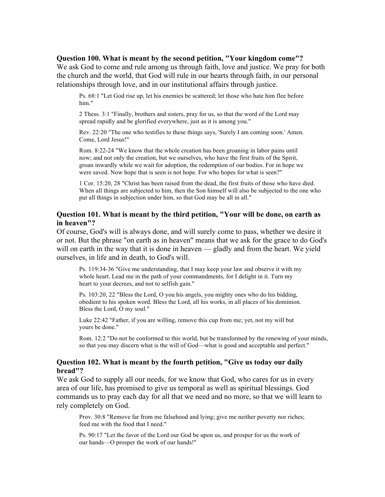# **Question 100. What is meant by the second petition, "Your kingdom come"?**

We ask God to come and rule among us through faith, love and justice. We pray for both the church and the world, that God will rule in our hearts through faith, in our personal relationships through love, and in our institutional affairs through justice.

Ps. 68:1 "Let God rise up, let his enemies be scattered; let those who hate him flee before him."

2 Thess. 3:1 "Finally, brothers and sisters, pray for us, so that the word of the Lord may spread rapidly and be glorified everywhere, just as it is among you."

Rev. 22:20 "The one who testifies to these things says, 'Surely I am coming soon.' Amen. Come, Lord Jesus!"

Rom. 8:22-24 "We know that the whole creation has been groaning in labor pains until now; and not only the creation, but we ourselves, who have the first fruits of the Spirit, groan inwardly while we wait for adoption, the redemption of our bodies. For in hope we were saved. Now hope that is seen is not hope. For who hopes for what is seen?"

1 Cor. 15:20, 28 "Christ has been raised from the dead, the first fruits of those who have died. When all things are subjected to him, then the Son himself will also be subjected to the one who put all things in subjection under him, so that God may be all in all."

# **Question 101. What is meant by the third petition, "Your will be done, on earth as in heaven"?**

Of course, God's will is always done, and will surely come to pass, whether we desire it or not. But the phrase "on earth as in heaven" means that we ask for the grace to do God's will on earth in the way that it is done in heaven — gladly and from the heart. We yield ourselves, in life and in death, to God's will.

Ps. 119:34-36 "Give me understanding, that I may keep your law and observe it with my whole heart. Lead me in the path of your commandments, for I delight in it. Turn my heart to your decrees, and not to selfish gain."

Ps. 103:20, 22 "Bless the Lord, O you his angels, you mighty ones who do his bidding, obedient to his spoken word. Bless the Lord, all his works, in all places of his dominion. Bless the Lord, O my soul."

Luke 22:42 "Father, if you are willing, remove this cup from me; yet, not my will but yours be done."

Rom. 12:2 "Do not be conformed to this world, but be transformed by the renewing of your minds, so that you may discern what is the will of God—what is good and acceptable and perfect."

### **Question 102. What is meant by the fourth petition, "Give us today our daily bread"?**

We ask God to supply all our needs, for we know that God, who cares for us in every area of our life, has promised to give us temporal as well as spiritual blessings. God commands us to pray each day for all that we need and no more, so that we will learn to rely completely on God.

Prov. 30:8 "Remove far from me falsehood and lying; give me neither poverty nor riches; feed me with the food that I need."

Ps. 90:17 "Let the favor of the Lord our God be upon us, and prosper for us the work of our hands—O prosper the work of our hands!"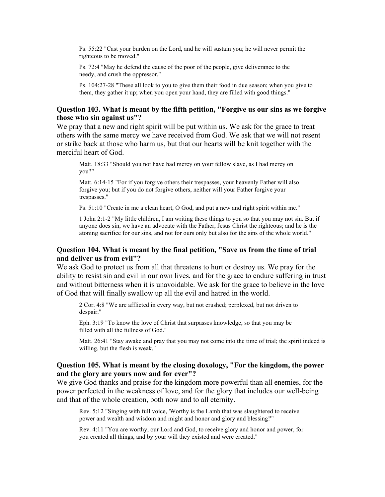Ps. 55:22 "Cast your burden on the Lord, and he will sustain you; he will never permit the righteous to be moved."

Ps. 72:4 "May he defend the cause of the poor of the people, give deliverance to the needy, and crush the oppressor."

Ps. 104:27-28 "These all look to you to give them their food in due season; when you give to them, they gather it up; when you open your hand, they are filled with good things."

# **Question 103. What is meant by the fifth petition, "Forgive us our sins as we forgive those who sin against us"?**

We pray that a new and right spirit will be put within us. We ask for the grace to treat others with the same mercy we have received from God. We ask that we will not resent or strike back at those who harm us, but that our hearts will be knit together with the merciful heart of God.

Matt. 18:33 "Should you not have had mercy on your fellow slave, as I had mercy on you?"

Matt. 6:14-15 "For if you forgive others their trespasses, your heavenly Father will also forgive you; but if you do not forgive others, neither will your Father forgive your trespasses."

Ps. 51:10 "Create in me a clean heart, O God, and put a new and right spirit within me."

1 John 2:1-2 "My little children, I am writing these things to you so that you may not sin. But if anyone does sin, we have an advocate with the Father, Jesus Christ the righteous; and he is the atoning sacrifice for our sins, and not for ours only but also for the sins of the whole world."

# **Question 104. What is meant by the final petition, "Save us from the time of trial and deliver us from evil"?**

We ask God to protect us from all that threatens to hurt or destroy us. We pray for the ability to resist sin and evil in our own lives, and for the grace to endure suffering in trust and without bitterness when it is unavoidable. We ask for the grace to believe in the love of God that will finally swallow up all the evil and hatred in the world.

2 Cor. 4:8 "We are afflicted in every way, but not crushed; perplexed, but not driven to despair."

Eph. 3:19 "To know the love of Christ that surpasses knowledge, so that you may be filled with all the fullness of God."

Matt. 26:41 "Stay awake and pray that you may not come into the time of trial; the spirit indeed is willing, but the flesh is weak."

# **Question 105. What is meant by the closing doxology, "For the kingdom, the power and the glory are yours now and for ever"?**

We give God thanks and praise for the kingdom more powerful than all enemies, for the power perfected in the weakness of love, and for the glory that includes our well-being and that of the whole creation, both now and to all eternity.

Rev. 5:12 "Singing with full voice, 'Worthy is the Lamb that was slaughtered to receive power and wealth and wisdom and might and honor and glory and blessing!'"

Rev. 4:11 "You are worthy, our Lord and God, to receive glory and honor and power, for you created all things, and by your will they existed and were created."